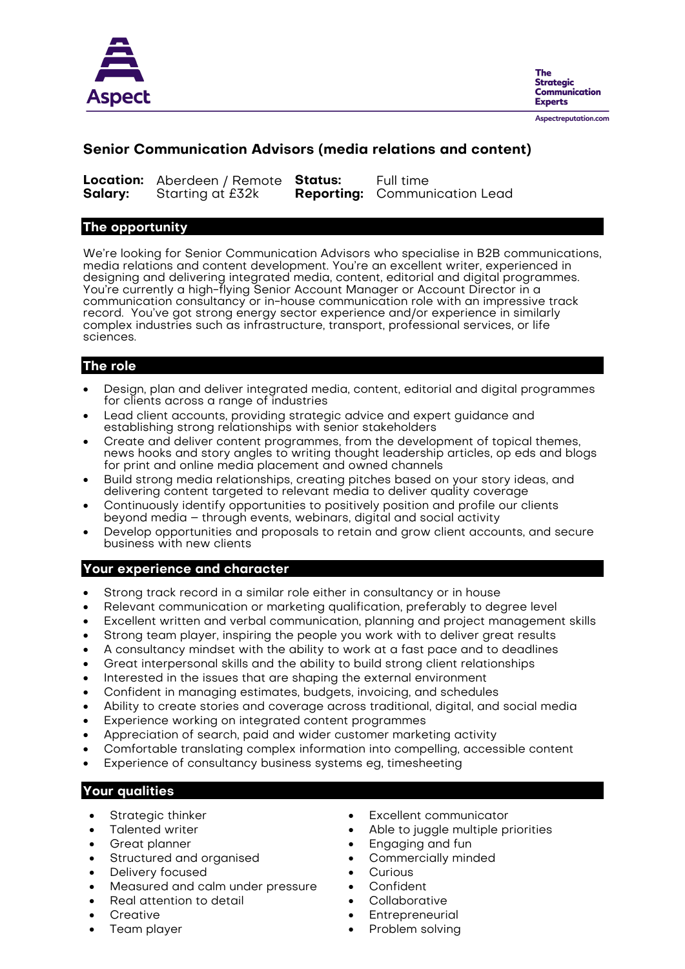

**The Strategic** Communication **Experts** 

#### Aspectreputation.com

# **Senior Communication Advisors (media relations and content)**

|         | <b>Location:</b> Aberdeen / Remote Status: | Full time                            |
|---------|--------------------------------------------|--------------------------------------|
| Salary: | Starting at £32k                           | <b>Reporting:</b> Communication Lead |

### **The opportunity**

We're looking for Senior Communication Advisors who specialise in B2B communications, media relations and content development. You're an excellent writer, experienced in designing and delivering integrated media, content, editorial and digital programmes. You're currently a high-flying Senior Account Manager or Account Director in a communication consultancy or in-house communication role with an impressive track record. You've got strong energy sector experience and/or experience in similarly complex industries such as infrastructure, transport, professional services, or life sciences.

# **The role**

- Design, plan and deliver integrated media, content, editorial and digital programmes for clients across a range of industries
- Lead client accounts, providing strategic advice and expert guidance and establishing strong relationships with senior stakeholders
- Create and deliver content programmes, from the development of topical themes, news hooks and story angles to writing thought leadership articles, op eds and blogs for print and online media placement and owned channels
- Build strong media relationships, creating pitches based on your story ideas, and delivering content targeted to relevant media to deliver quality coverage
- Continuously identify opportunities to positively position and profile our clients beyond media – through events, webinars, digital and social activity
- Develop opportunities and proposals to retain and grow client accounts, and secure business with new clients

## **Your experience and character**

- Strong track record in a similar role either in consultancy or in house
- Relevant communication or marketing qualification, preferably to degree level
- Excellent written and verbal communication, planning and project management skills
- Strong team player, inspiring the people you work with to deliver great results
- A consultancy mindset with the ability to work at a fast pace and to deadlines
- Great interpersonal skills and the ability to build strong client relationships
- Interested in the issues that are shaping the external environment
- Confident in managing estimates, budgets, invoicing, and schedules
- Ability to create stories and coverage across traditional, digital, and social media
- Experience working on integrated content programmes
- Appreciation of search, paid and wider customer marketing activity
- Comfortable translating complex information into compelling, accessible content
- Experience of consultancy business systems eg, timesheeting

# **Your qualities**

- Strategic thinker
- Talented writer
- Great planner
- Structured and organised
- Delivery focused
- Measured and calm under pressure
- Real attention to detail
- **Creative**
- Team player
- Excellent communicator
- Able to juggle multiple priorities
- Engaging and fun
- Commercially minded
- **Curious**
- Confident
- **Collaborative**
- **Entrepreneurial**
- Problem solving